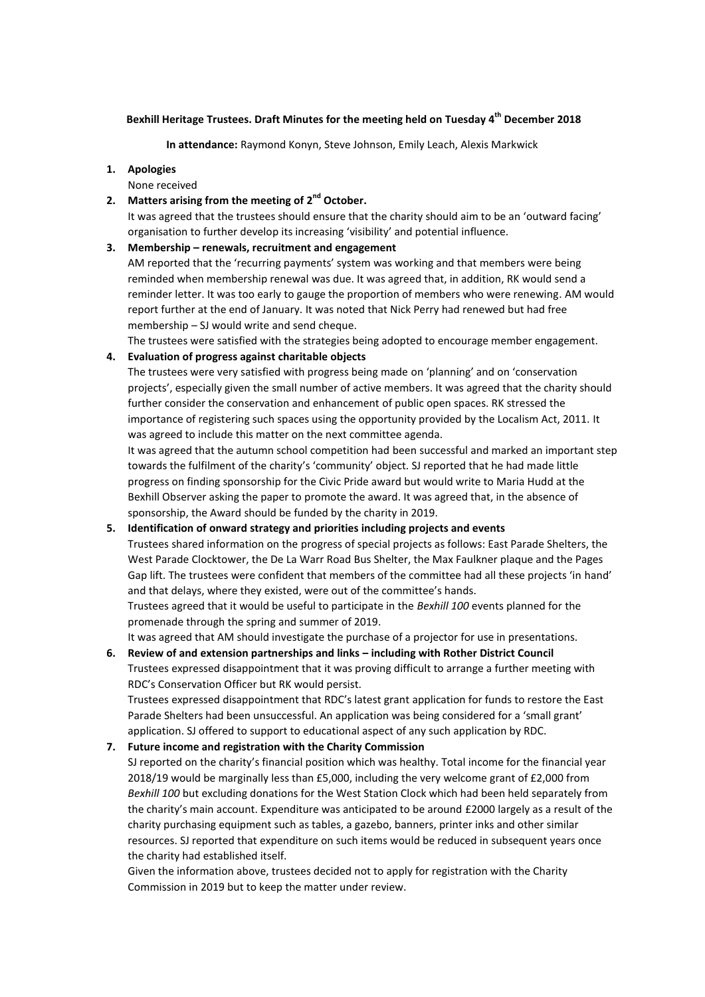## **Bexhill Heritage Trustees. Draft Minutes for the meeting held on Tuesday 4 th December 2018**

**In attendance:** Raymond Konyn, Steve Johnson, Emily Leach, Alexis Markwick

### **1. Apologies**

### None received

2. Matters arising from the meeting of 2<sup>nd</sup> October.

It was agreed that the trustees should ensure that the charity should aim to be an 'outward facing' organisation to further develop its increasing 'visibility' and potential influence.

### **3. Membership – renewals, recruitment and engagement**

AM reported that the 'recurring payments' system was working and that members were being reminded when membership renewal was due. It was agreed that, in addition, RK would send a reminder letter. It was too early to gauge the proportion of members who were renewing. AM would report further at the end of January. It was noted that Nick Perry had renewed but had free membership – SJ would write and send cheque.

The trustees were satisfied with the strategies being adopted to encourage member engagement.

### **4. Evaluation of progress against charitable objects**

The trustees were very satisfied with progress being made on 'planning' and on 'conservation projects', especially given the small number of active members. It was agreed that the charity should further consider the conservation and enhancement of public open spaces. RK stressed the importance of registering such spaces using the opportunity provided by the Localism Act, 2011. It was agreed to include this matter on the next committee agenda.

It was agreed that the autumn school competition had been successful and marked an important step towards the fulfilment of the charity's 'community' object. SJ reported that he had made little progress on finding sponsorship for the Civic Pride award but would write to Maria Hudd at the Bexhill Observer asking the paper to promote the award. It was agreed that, in the absence of sponsorship, the Award should be funded by the charity in 2019.

## **5. Identification of onward strategy and priorities including projects and events**

Trustees shared information on the progress of special projects as follows: East Parade Shelters, the West Parade Clocktower, the De La Warr Road Bus Shelter, the Max Faulkner plaque and the Pages Gap lift. The trustees were confident that members of the committee had all these projects 'in hand' and that delays, where they existed, were out of the committee's hands.

Trustees agreed that it would be useful to participate in the *Bexhill 100* events planned for the promenade through the spring and summer of 2019.

It was agreed that AM should investigate the purchase of a projector for use in presentations.

**6. Review of and extension partnerships and links – including with Rother District Council** Trustees expressed disappointment that it was proving difficult to arrange a further meeting with RDC's Conservation Officer but RK would persist.

Trustees expressed disappointment that RDC's latest grant application for funds to restore the East Parade Shelters had been unsuccessful. An application was being considered for a 'small grant' application. SJ offered to support to educational aspect of any such application by RDC.

### **7. Future income and registration with the Charity Commission**

SJ reported on the charity's financial position which was healthy. Total income for the financial year 2018/19 would be marginally less than £5,000, including the very welcome grant of £2,000 from *Bexhill 100* but excluding donations for the West Station Clock which had been held separately from the charity's main account. Expenditure was anticipated to be around £2000 largely as a result of the charity purchasing equipment such as tables, a gazebo, banners, printer inks and other similar resources. SJ reported that expenditure on such items would be reduced in subsequent years once the charity had established itself.

Given the information above, trustees decided not to apply for registration with the Charity Commission in 2019 but to keep the matter under review.